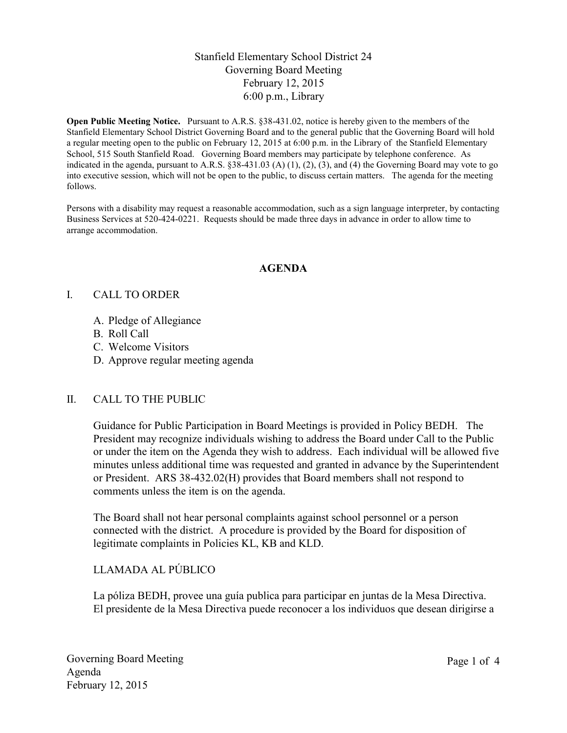## Stanfield Elementary School District 24 Governing Board Meeting February 12, 2015 6:00 p.m., Library

**Open Public Meeting Notice.** Pursuant to A.R.S. §38-431.02, notice is hereby given to the members of the Stanfield Elementary School District Governing Board and to the general public that the Governing Board will hold a regular meeting open to the public on February 12, 2015 at 6:00 p.m. in the Library of the Stanfield Elementary School, 515 South Stanfield Road. Governing Board members may participate by telephone conference. As indicated in the agenda, pursuant to A.R.S.  $\S 38-431.03$  (A) (1), (2), (3), and (4) the Governing Board may vote to go into executive session, which will not be open to the public, to discuss certain matters. The agenda for the meeting follows.

Persons with a disability may request a reasonable accommodation, such as a sign language interpreter, by contacting Business Services at 520-424-0221. Requests should be made three days in advance in order to allow time to arrange accommodation.

#### **AGENDA**

#### I. CALL TO ORDER

- A. Pledge of Allegiance
- B. Roll Call
- C. Welcome Visitors
- D. Approve regular meeting agenda

### II. CALL TO THE PUBLIC

Guidance for Public Participation in Board Meetings is provided in Policy BEDH. The President may recognize individuals wishing to address the Board under Call to the Public or under the item on the Agenda they wish to address. Each individual will be allowed five minutes unless additional time was requested and granted in advance by the Superintendent or President. ARS 38-432.02(H) provides that Board members shall not respond to comments unless the item is on the agenda.

The Board shall not hear personal complaints against school personnel or a person connected with the district. A procedure is provided by the Board for disposition of legitimate complaints in Policies KL, KB and KLD.

# LLAMADA AL PÚBLICO

La póliza BEDH, provee una guía publica para participar en juntas de la Mesa Directiva. El presidente de la Mesa Directiva puede reconocer a los individuos que desean dirigirse a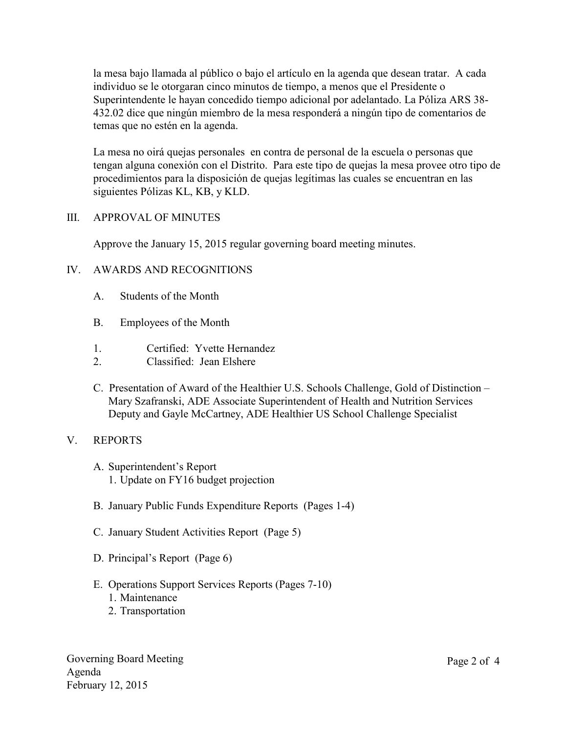la mesa bajo llamada al público o bajo el artículo en la agenda que desean tratar. A cada individuo se le otorgaran cinco minutos de tiempo, a menos que el Presidente o Superintendente le hayan concedido tiempo adicional por adelantado. La Póliza ARS 38- 432.02 dice que ningún miembro de la mesa responderá a ningún tipo de comentarios de temas que no estén en la agenda.

La mesa no oirá quejas personales en contra de personal de la escuela o personas que tengan alguna conexión con el Distrito. Para este tipo de quejas la mesa provee otro tipo de procedimientos para la disposición de quejas legítimas las cuales se encuentran en las siguientes Pólizas KL, KB, y KLD.

#### III. APPROVAL OF MINUTES

Approve the January 15, 2015 regular governing board meeting minutes.

### IV. AWARDS AND RECOGNITIONS

- A. Students of the Month
- B. Employees of the Month
- 1. Certified: Yvette Hernandez
- 2. Classified: Jean Elshere
- C. Presentation of Award of the Healthier U.S. Schools Challenge, Gold of Distinction Mary Szafranski, ADE Associate Superintendent of Health and Nutrition Services Deputy and Gayle McCartney, ADE Healthier US School Challenge Specialist

### V. REPORTS

- A. Superintendent's Report 1. Update on FY16 budget projection
- B. January Public Funds Expenditure Reports (Pages 1-4)
- C. January Student Activities Report (Page 5)
- D. Principal's Report (Page 6)
- E. Operations Support Services Reports (Pages 7-10)
	- 1. Maintenance
	- 2. Transportation

Governing Board Meeting Agenda February 12, 2015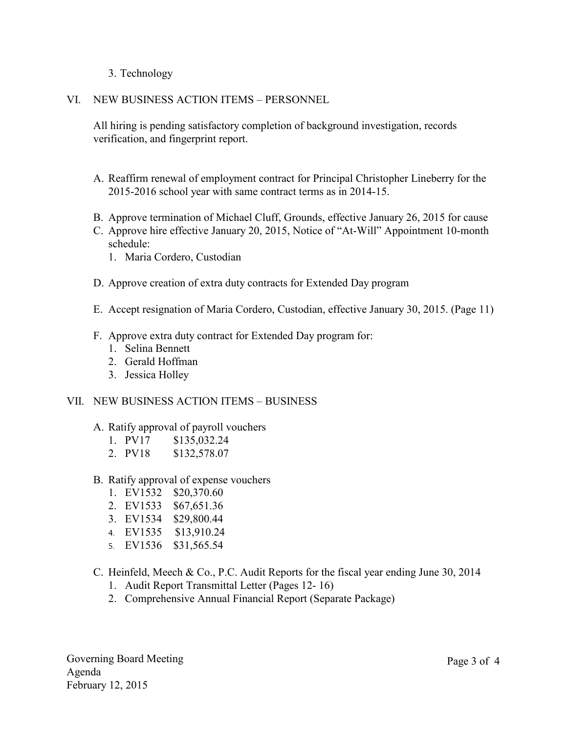- 3. Technology
- VI. NEW BUSINESS ACTION ITEMS PERSONNEL

All hiring is pending satisfactory completion of background investigation, records verification, and fingerprint report.

- A. Reaffirm renewal of employment contract for Principal Christopher Lineberry for the 2015-2016 school year with same contract terms as in 2014-15.
- B. Approve termination of Michael Cluff, Grounds, effective January 26, 2015 for cause
- C. Approve hire effective January 20, 2015, Notice of "At-Will" Appointment 10-month schedule:
	- 1. Maria Cordero, Custodian
- D. Approve creation of extra duty contracts for Extended Day program
- E. Accept resignation of Maria Cordero, Custodian, effective January 30, 2015. (Page 11)
- F. Approve extra duty contract for Extended Day program for:
	- 1. Selina Bennett
	- 2. Gerald Hoffman
	- 3. Jessica Holley

#### VII. NEW BUSINESS ACTION ITEMS – BUSINESS

- A. Ratify approval of payroll vouchers
	- 1. PV17 \$135,032.24
	- 2. PV18 \$132,578.07
- B. Ratify approval of expense vouchers
	- 1. EV1532 \$20,370.60
	- 2. EV1533 \$67,651.36
	- 3. EV1534 \$29,800.44
	- 4. EV1535 \$13,910.24
	- 5. EV1536 \$31,565.54
- C. Heinfeld, Meech & Co., P.C. Audit Reports for the fiscal year ending June 30, 2014
	- 1. Audit Report Transmittal Letter (Pages 12- 16)
	- 2. Comprehensive Annual Financial Report (Separate Package)